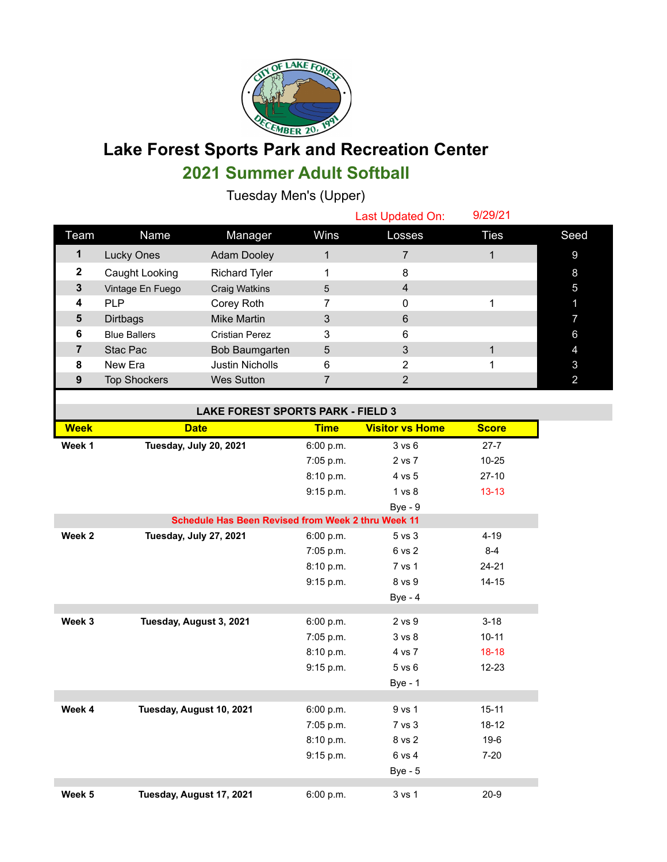

## **Lake Forest Sports Park and Recreation Center 2021 Summer Adult Softball**

Tuesday Men's (Upper)

|      |                     |                        |      | Last Updated On: | 9/29/21     |      |
|------|---------------------|------------------------|------|------------------|-------------|------|
| Team | Name                | Manager                | Wins | Losses           | <b>Ties</b> | Seed |
|      | Lucky Ones          | <b>Adam Dooley</b>     |      |                  |             | 9    |
| 2    | Caught Looking      | <b>Richard Tyler</b>   |      | 8                |             | 8    |
| 3    | Vintage En Fuego    | Craig Watkins          | 5    | 4                |             | 5    |
| 4    | <b>PLP</b>          | Corey Roth             |      | 0                |             |      |
| 5    | Dirtbags            | Mike Martin            | 3    | 6                |             |      |
| 6    | <b>Blue Ballers</b> | <b>Cristian Perez</b>  | 3    | 6                |             | 6    |
|      | Stac Pac            | Bob Baumgarten         | 5    | 3                |             |      |
| 8    | New Era             | <b>Justin Nicholls</b> | 6    | 2                |             | 3    |
| 9    | <b>Top Shockers</b> | <b>Wes Sutton</b>      |      |                  |             |      |

## **LAKE FOREST SPORTS PARK - FIELD 3**

| בעשורי ההוא ויטויט וטייטאוט ובבשט                  |                          |             |                        |              |  |  |
|----------------------------------------------------|--------------------------|-------------|------------------------|--------------|--|--|
| <b>Week</b>                                        | <b>Date</b>              | <b>Time</b> | <b>Visitor vs Home</b> | <b>Score</b> |  |  |
| Week 1                                             | Tuesday, July 20, 2021   | 6:00 p.m.   | 3 v s 6                | $27 - 7$     |  |  |
|                                                    |                          | 7:05 p.m.   | 2 vs 7                 | $10 - 25$    |  |  |
|                                                    |                          | 8:10 p.m.   | 4 vs 5                 | $27-10$      |  |  |
|                                                    |                          | 9:15 p.m.   | 1 vs 8                 | $13 - 13$    |  |  |
|                                                    |                          |             | $Bye - 9$              |              |  |  |
| Schedule Has Been Revised from Week 2 thru Week 11 |                          |             |                        |              |  |  |
| Week <sub>2</sub>                                  | Tuesday, July 27, 2021   | 6:00 p.m.   | 5 vs 3                 | $4 - 19$     |  |  |
|                                                    |                          | 7:05 p.m.   | 6 vs 2                 | $8 - 4$      |  |  |
|                                                    |                          | 8:10 p.m.   | 7 vs 1                 | $24 - 21$    |  |  |
|                                                    |                          | 9:15 p.m.   | 8 vs 9                 | $14 - 15$    |  |  |
|                                                    |                          |             | $Bye - 4$              |              |  |  |
|                                                    |                          |             |                        |              |  |  |
| Week 3                                             | Tuesday, August 3, 2021  | 6:00 p.m.   | 2 vs 9                 | $3 - 18$     |  |  |
|                                                    |                          | 7:05 p.m.   | 3 vs 8                 | $10 - 11$    |  |  |
|                                                    |                          | 8:10 p.m.   | 4 vs 7                 | $18-18$      |  |  |
|                                                    |                          | 9:15 p.m.   | 5 vs 6                 | $12 - 23$    |  |  |
|                                                    |                          |             | <b>Bye - 1</b>         |              |  |  |
|                                                    |                          |             |                        |              |  |  |
| Week 4                                             | Tuesday, August 10, 2021 | 6:00 p.m.   | 9 vs 1                 | $15 - 11$    |  |  |
|                                                    |                          | 7:05 p.m.   | 7 vs 3                 | $18 - 12$    |  |  |
|                                                    |                          | 8:10 p.m.   | 8 vs 2                 | 19-6         |  |  |
|                                                    |                          | 9:15 p.m.   | 6 vs 4                 | $7 - 20$     |  |  |
|                                                    |                          |             | <b>Bye - 5</b>         |              |  |  |
|                                                    |                          |             |                        |              |  |  |
| Week 5                                             | Tuesday, August 17, 2021 | 6:00 p.m.   | 3 vs 1                 | $20 - 9$     |  |  |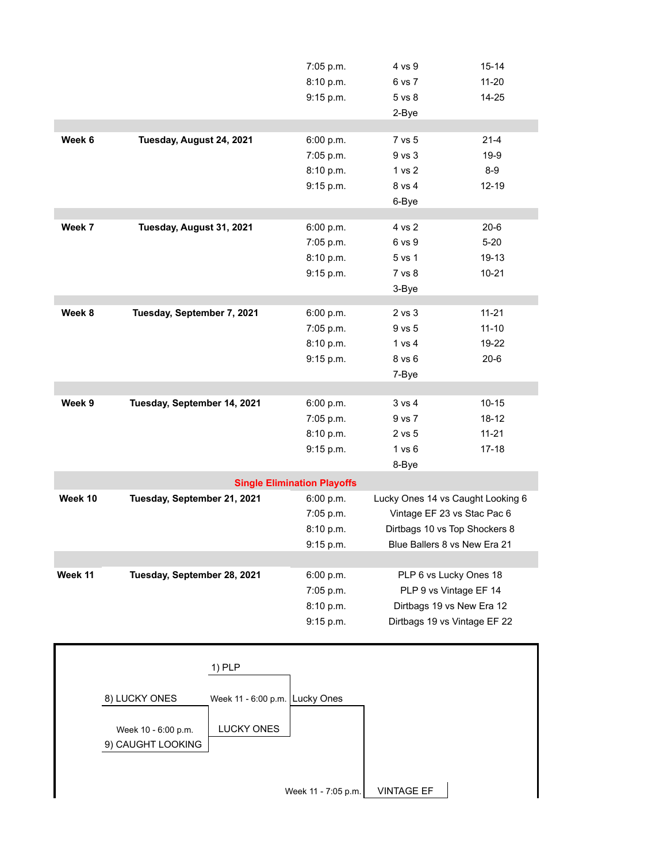|         |                                                 | 7:05 p.m.                          | 4 vs 9                            | $15 - 14$                 |
|---------|-------------------------------------------------|------------------------------------|-----------------------------------|---------------------------|
|         |                                                 | 8:10 p.m.                          | 6 vs 7                            | $11 - 20$                 |
|         |                                                 | 9:15 p.m.                          | 5 vs 8                            | $14 - 25$                 |
|         |                                                 |                                    | 2-Bye                             |                           |
|         |                                                 |                                    |                                   |                           |
| Week 6  | Tuesday, August 24, 2021                        | 6:00 p.m.                          | 7 vs 5                            | $21 - 4$                  |
|         |                                                 | 7:05 p.m.                          | 9 vs 3                            | $19-9$                    |
|         |                                                 | 8:10 p.m.                          | 1 vs 2                            | $8-9$                     |
|         |                                                 | 9:15 p.m.                          | 8 vs 4                            | $12 - 19$                 |
|         |                                                 |                                    | 6-Bye                             |                           |
|         |                                                 |                                    |                                   |                           |
| Week 7  | Tuesday, August 31, 2021                        | 6:00 p.m.                          | 4 vs 2                            | $20 - 6$                  |
|         |                                                 | 7:05 p.m.                          | 6 vs 9                            | $5 - 20$                  |
|         |                                                 | 8:10 p.m.                          | 5 vs 1                            | 19-13                     |
|         |                                                 | 9:15 p.m.                          | 7 vs 8                            | $10 - 21$                 |
|         |                                                 |                                    | 3-Bye                             |                           |
| Week 8  | Tuesday, September 7, 2021                      | 6:00 p.m.                          | 2 vs 3                            | $11 - 21$                 |
|         |                                                 | 7:05 p.m.                          | 9 vs 5                            | $11 - 10$                 |
|         |                                                 | 8:10 p.m.                          | 1 vs 4                            | 19-22                     |
|         |                                                 |                                    |                                   |                           |
|         |                                                 | 9:15 p.m.                          | 8 vs 6                            | $20 - 6$                  |
|         |                                                 |                                    | 7-Bye                             |                           |
| Week 9  | Tuesday, September 14, 2021                     | 6:00 p.m.                          | 3 vs 4                            | $10 - 15$                 |
|         |                                                 | 7:05 p.m.                          | 9 vs 7                            | $18 - 12$                 |
|         |                                                 | 8:10 p.m.                          | 2 vs 5                            | $11 - 21$                 |
|         |                                                 | 9:15 p.m.                          | 1 vs 6                            | $17-18$                   |
|         |                                                 |                                    | 8-Bye                             |                           |
|         |                                                 |                                    |                                   |                           |
|         |                                                 | <b>Single Elimination Playoffs</b> |                                   |                           |
| Week 10 | Tuesday, September 21, 2021                     | 6:00 p.m.                          | Lucky Ones 14 vs Caught Looking 6 |                           |
|         |                                                 | 7:05 p.m.                          | Vintage EF 23 vs Stac Pac 6       |                           |
|         |                                                 | 8:10 p.m.                          | Dirtbags 10 vs Top Shockers 8     |                           |
|         |                                                 | 9:15 p.m.                          | Blue Ballers 8 vs New Era 21      |                           |
|         |                                                 |                                    |                                   |                           |
| Week 11 | Tuesday, September 28, 2021                     | 6:00 p.m.                          | PLP 6 vs Lucky Ones 18            |                           |
|         |                                                 | 7:05 p.m.                          | PLP 9 vs Vintage EF 14            |                           |
|         |                                                 | 8:10 p.m.                          |                                   | Dirtbags 19 vs New Era 12 |
|         |                                                 | 9:15 p.m.                          | Dirtbags 19 vs Vintage EF 22      |                           |
|         |                                                 |                                    |                                   |                           |
|         |                                                 |                                    |                                   |                           |
|         | $1)$ PLP                                        |                                    |                                   |                           |
|         |                                                 |                                    |                                   |                           |
|         | 8) LUCKY ONES<br>Week 11 - 6:00 p.m. Lucky Ones |                                    |                                   |                           |
|         |                                                 |                                    |                                   |                           |
|         | <b>LUCKY ONES</b><br>Week 10 - 6:00 p.m.        |                                    |                                   |                           |
|         | 9) CAUGHT LOOKING                               |                                    |                                   |                           |
|         |                                                 |                                    |                                   |                           |

Week 11 - 7:05 p.m.  $\vert$  VINTAGE EF